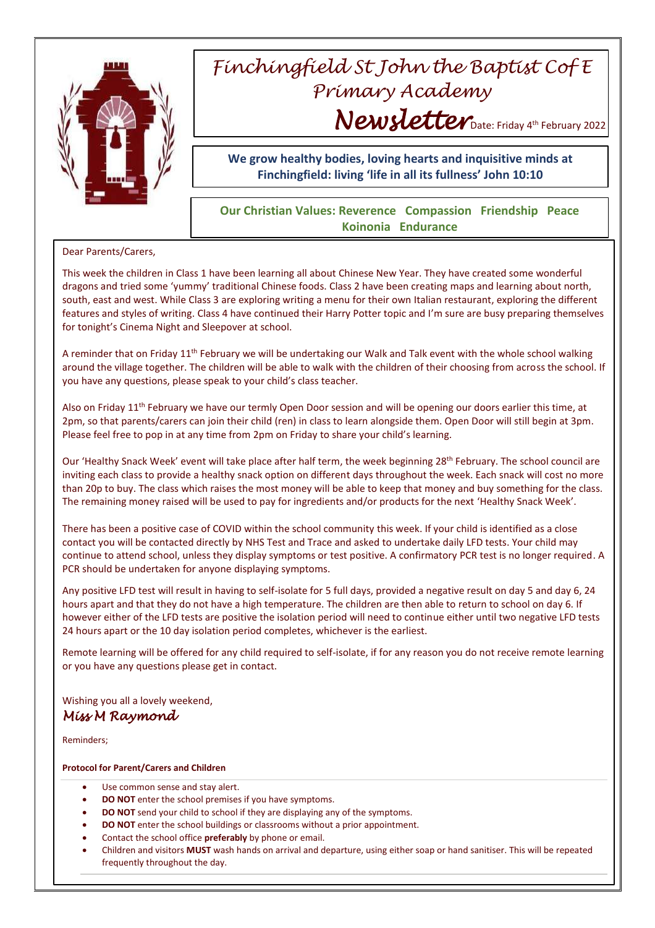

## *Finchingfield St John the Baptist Cof E Primary Academy* Newsletter Date: Friday 4th February 2022

**We grow healthy bodies, loving hearts and inquisitive minds at Finchingfield: living 'life in all its fullness' John 10:10**

## **Our Christian Values: Reverence Compassion Friendship Peace Koinonia Endurance**

## Dear Parents/Carers,

This week the children in Class 1 have been learning all about Chinese New Year. They have created some wonderful dragons and tried some 'yummy' traditional Chinese foods. Class 2 have been creating maps and learning about north, south, east and west. While Class 3 are exploring writing a menu for their own Italian restaurant, exploring the different features and styles of writing. Class 4 have continued their Harry Potter topic and I'm sure are busy preparing themselves for tonight's Cinema Night and Sleepover at school.

A reminder that on Friday 11th February we will be undertaking our Walk and Talk event with the whole school walking around the village together. The children will be able to walk with the children of their choosing from across the school. If you have any questions, please speak to your child's class teacher.

Also on Friday  $11<sup>th</sup>$  February we have our termly Open Door session and will be opening our doors earlier this time, at 2pm, so that parents/carers can join their child (ren) in class to learn alongside them. Open Door will still begin at 3pm. Please feel free to pop in at any time from 2pm on Friday to share your child's learning.

Our 'Healthy Snack Week' event will take place after half term, the week beginning 28<sup>th</sup> February. The school council are inviting each class to provide a healthy snack option on different days throughout the week. Each snack will cost no more than 20p to buy. The class which raises the most money will be able to keep that money and buy something for the class. The remaining money raised will be used to pay for ingredients and/or products for the next 'Healthy Snack Week'.

There has been a positive case of COVID within the school community this week. If your child is identified as a close contact you will be contacted directly by NHS Test and Trace and asked to undertake daily LFD tests. Your child may continue to attend school, unless they display symptoms or test positive. A confirmatory PCR test is no longer required. A PCR should be undertaken for anyone displaying symptoms.

Any positive LFD test will result in having to self-isolate for 5 full days, provided a negative result on day 5 and day 6, 24 hours apart and that they do not have a high temperature. The children are then able to return to school on day 6. If however either of the LFD tests are positive the isolation period will need to continue either until two negative LFD tests 24 hours apart or the 10 day isolation period completes, whichever is the earliest.

Remote learning will be offered for any child required to self-isolate, if for any reason you do not receive remote learning or you have any questions please get in contact.

Wishing you all a lovely weekend, *Miss M Raymond* 

Reminders;

## **Protocol for Parent/Carers and Children**

- Use common sense and stay alert.
- **DO NOT** enter the school premises if you have symptoms.
- **DO NOT** send your child to school if they are displaying any of the symptoms.
- **DO NOT** enter the school buildings or classrooms without a prior appointment.
- Contact the school office **preferably** by phone or email.
- Children and visitors **MUST** wash hands on arrival and departure, using either soap or hand sanitiser. This will be repeated frequently throughout the day.